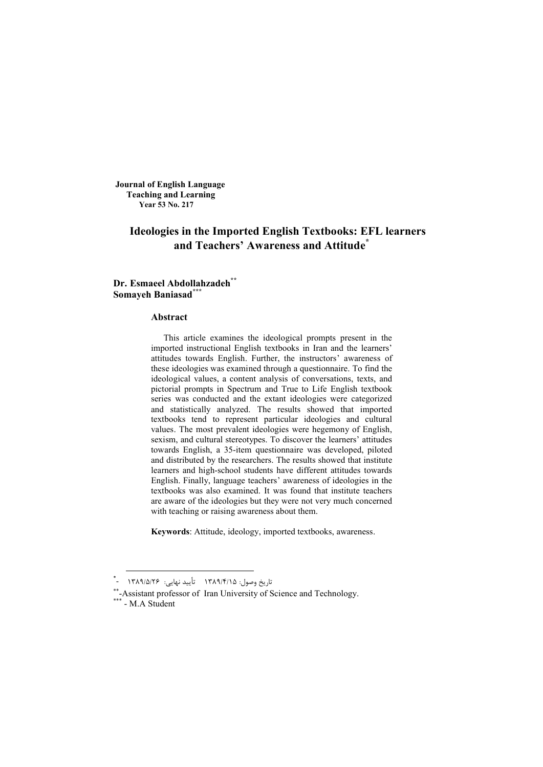**Journal of English Language Teaching and Learning Year 53 No. 217**

# **Ideologies in the Imported English Textbooks: EFL learners and Teachers' Awareness and Attitude\***

## **Dr. Esmaeel Abdollahzadeh\*\* Somayeh Baniasad\*\*\***

#### **Abstract**

This article examines the ideological prompts present in the imported instructional English textbooks in Iran and the learners' attitudes towards English. Further, the instructors' awareness of these ideologies was examined through a questionnaire. To find the ideological values, a content analysis of conversations, texts, and pictorial prompts in Spectrum and True to Life English textbook series was conducted and the extant ideologies were categorized and statistically analyzed. The results showed that imported textbooks tend to represent particular ideologies and cultural values. The most prevalent ideologies were hegemony of English, sexism, and cultural stereotypes. To discover the learners' attitudes towards English, a 35-item questionnaire was developed, piloted and distributed by the researchers. The results showed that institute learners and high-school students have different attitudes towards English. Finally, language teachers' awareness of ideologies in the textbooks was also examined. It was found that institute teachers are aware of the ideologies but they were not very much concerned with teaching or raising awareness about them.

**Keywords**: Attitude, ideology, imported textbooks, awareness.

 <sup>\*</sup> - 1389 /5/ 26 : نهایی تأیید 1389 /4/ 15 :وصول تاریخ

<sup>\*\*-</sup>Assistant professor of Iran University of Science and Technology.

<sup>\* -</sup> M.A Student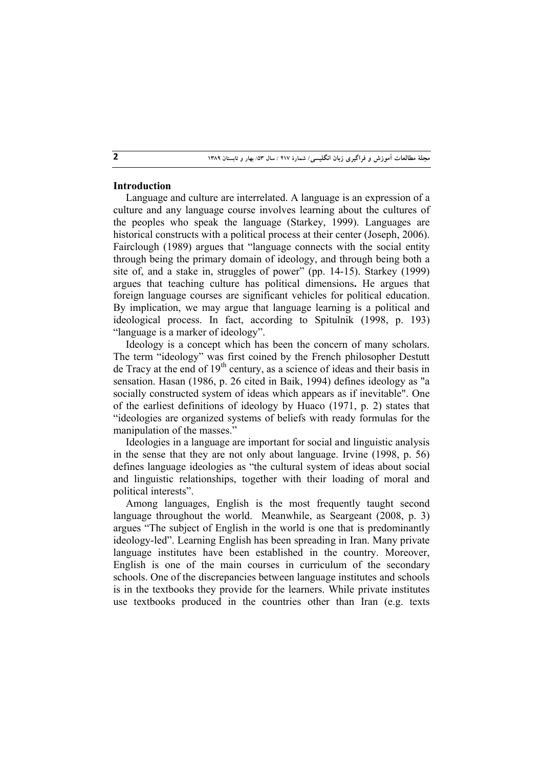## **Introduction**

Language and culture are interrelated. A language is an expression of a culture and any language course involves learning about the cultures of the peoples who speak the language (Starkey, 1999). Languages are historical constructs with a political process at their center (Joseph, 2006). Fairclough (1989) argues that "language connects with the social entity through being the primary domain of ideology, and through being both a site of, and a stake in, struggles of power" (pp. 14-15). Starkey (1999) argues that teaching culture has political dimensions**.** He argues that foreign language courses are significant vehicles for political education. By implication, we may argue that language learning is a political and ideological process. In fact, according to Spitulnik (1998, p. 193) "language is a marker of ideology".

Ideology is a concept which has been the concern of many scholars. The term "ideology" was first coined by the French philosopher Destutt de Tracy at the end of  $19<sup>th</sup>$  century, as a science of ideas and their basis in sensation. Hasan (1986, p. 26 cited in Baik, 1994) defines ideology as "a socially constructed system of ideas which appears as if inevitable". One of the earliest definitions of ideology by Huaco (1971, p. 2) states that "ideologies are organized systems of beliefs with ready formulas for the manipulation of the masses."

Ideologies in a language are important for social and linguistic analysis in the sense that they are not only about language. Irvine (1998, p. 56) defines language ideologies as "the cultural system of ideas about social and linguistic relationships, together with their loading of moral and political interests".

Among languages, English is the most frequently taught second language throughout the world. Meanwhile, as Seargeant (2008, p. 3) argues "The subject of English in the world is one that is predominantly ideology-led". Learning English has been spreading in Iran. Many private language institutes have been established in the country. Moreover, English is one of the main courses in curriculum of the secondary schools. One of the discrepancies between language institutes and schools is in the textbooks they provide for the learners. While private institutes use textbooks produced in the countries other than Iran (e.g. texts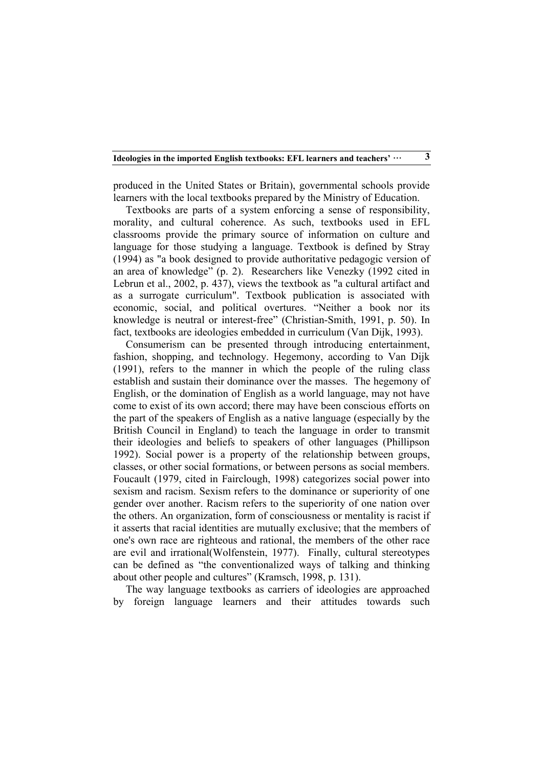produced in the United States or Britain), governmental schools provide learners with the local textbooks prepared by the Ministry of Education.

Textbooks are parts of a system enforcing a sense of responsibility, morality, and cultural coherence. As such, textbooks used in EFL classrooms provide the primary source of information on culture and language for those studying a language. Textbook is defined by Stray (1994) as "a book designed to provide authoritative pedagogic version of an area of knowledge" (p. 2). Researchers like Venezky (1992 cited in Lebrun et al., 2002, p. 437), views the textbook as "a cultural artifact and as a surrogate curriculum". Textbook publication is associated with economic, social, and political overtures. "Neither a book nor its knowledge is neutral or interest-free" (Christian-Smith, 1991, p. 50). In fact, textbooks are ideologies embedded in curriculum (Van Dijk, 1993).

Consumerism can be presented through introducing entertainment, fashion, shopping, and technology. Hegemony, according to Van Dijk (1991), refers to the manner in which the people of the ruling class establish and sustain their dominance over the masses. The hegemony of English, or the domination of English as a world language, may not have come to exist of its own accord; there may have been conscious efforts on the part of the speakers of English as a native language (especially by the British Council in England) to teach the language in order to transmit their ideologies and beliefs to speakers of other languages (Phillipson 1992). Social power is a property of the relationship between groups, classes, or other social formations, or between persons as social members. Foucault (1979, cited in Fairclough, 1998) categorizes social power into sexism and racism. Sexism refers to the dominance or superiority of one gender over another. Racism refers to the superiority of one nation over the others. An organization, form of consciousness or mentality is racist if it asserts that racial identities are mutually exclusive; that the members of one's own race are righteous and rational, the members of the other race are evil and irrational(Wolfenstein, 1977). Finally, cultural stereotypes can be defined as "the conventionalized ways of talking and thinking about other people and cultures" (Kramsch, 1998, p. 131).

The way language textbooks as carriers of ideologies are approached by foreign language learners and their attitudes towards such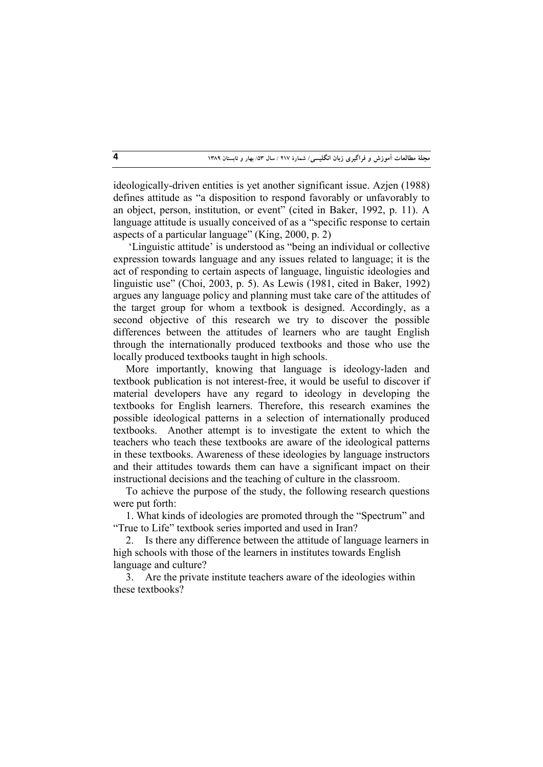ideologically-driven entities is yet another significant issue. Azjen (1988) defines attitude as "a disposition to respond favorably or unfavorably to an object, person, institution, or event" (cited in Baker, 1992, p. 11). A language attitude is usually conceived of as a "specific response to certain aspects of a particular language" (King, 2000, p. 2)

 'Linguistic attitude' is understood as "being an individual or collective expression towards language and any issues related to language; it is the act of responding to certain aspects of language, linguistic ideologies and linguistic use" (Choi, 2003, p. 5). As Lewis (1981, cited in Baker, 1992) argues any language policy and planning must take care of the attitudes of the target group for whom a textbook is designed. Accordingly, as a second objective of this research we try to discover the possible differences between the attitudes of learners who are taught English through the internationally produced textbooks and those who use the locally produced textbooks taught in high schools.

More importantly, knowing that language is ideology-laden and textbook publication is not interest-free, it would be useful to discover if material developers have any regard to ideology in developing the textbooks for English learners. Therefore, this research examines the possible ideological patterns in a selection of internationally produced textbooks. Another attempt is to investigate the extent to which the teachers who teach these textbooks are aware of the ideological patterns in these textbooks. Awareness of these ideologies by language instructors and their attitudes towards them can have a significant impact on their instructional decisions and the teaching of culture in the classroom.

To achieve the purpose of the study, the following research questions were put forth:

1. What kinds of ideologies are promoted through the "Spectrum" and "True to Life" textbook series imported and used in Iran?

2. Is there any difference between the attitude of language learners in high schools with those of the learners in institutes towards English language and culture?

3. Are the private institute teachers aware of the ideologies within these textbooks?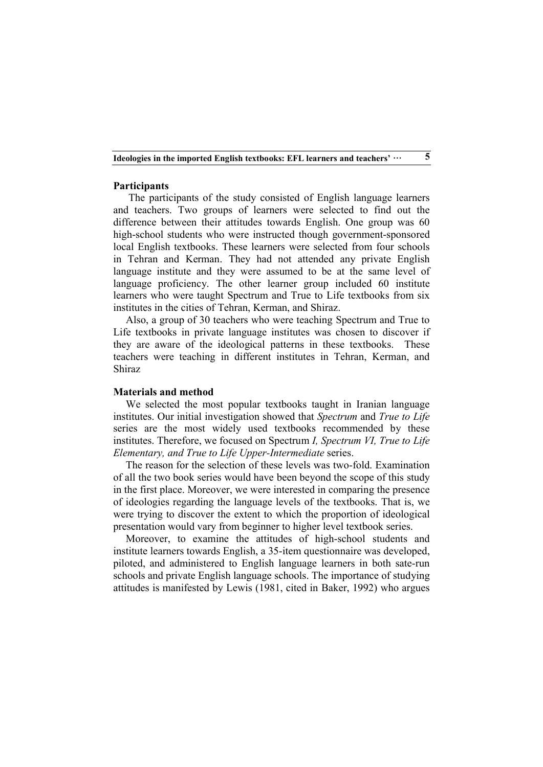### **Participants**

 The participants of the study consisted of English language learners and teachers. Two groups of learners were selected to find out the difference between their attitudes towards English. One group was 60 high-school students who were instructed though government-sponsored local English textbooks. These learners were selected from four schools in Tehran and Kerman. They had not attended any private English language institute and they were assumed to be at the same level of language proficiency. The other learner group included 60 institute learners who were taught Spectrum and True to Life textbooks from six institutes in the cities of Tehran, Kerman, and Shiraz.

Also, a group of 30 teachers who were teaching Spectrum and True to Life textbooks in private language institutes was chosen to discover if they are aware of the ideological patterns in these textbooks. These teachers were teaching in different institutes in Tehran, Kerman, and Shiraz

### **Materials and method**

We selected the most popular textbooks taught in Iranian language institutes. Our initial investigation showed that *Spectrum* and *True to Life* series are the most widely used textbooks recommended by these institutes. Therefore, we focused on Spectrum *I, Spectrum VI, True to Life Elementary, and True to Life Upper-Intermediate* series.

The reason for the selection of these levels was two-fold. Examination of all the two book series would have been beyond the scope of this study in the first place. Moreover, we were interested in comparing the presence of ideologies regarding the language levels of the textbooks. That is, we were trying to discover the extent to which the proportion of ideological presentation would vary from beginner to higher level textbook series.

Moreover, to examine the attitudes of high-school students and institute learners towards English, a 35-item questionnaire was developed, piloted, and administered to English language learners in both sate-run schools and private English language schools. The importance of studying attitudes is manifested by Lewis (1981, cited in Baker, 1992) who argues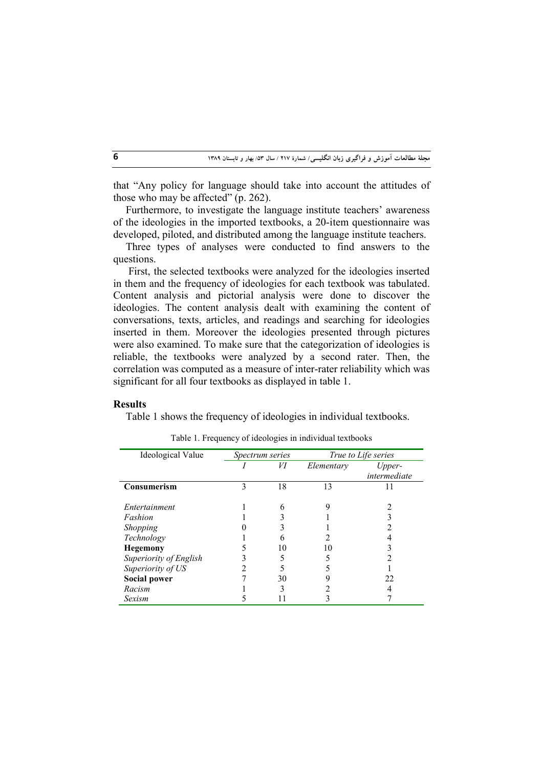that "Any policy for language should take into account the attitudes of those who may be affected" (p. 262).

Furthermore, to investigate the language institute teachers' awareness of the ideologies in the imported textbooks, a 20-item questionnaire was developed, piloted, and distributed among the language institute teachers.

Three types of analyses were conducted to find answers to the questions.

 First, the selected textbooks were analyzed for the ideologies inserted in them and the frequency of ideologies for each textbook was tabulated. Content analysis and pictorial analysis were done to discover the ideologies. The content analysis dealt with examining the content of conversations, texts, articles, and readings and searching for ideologies inserted in them. Moreover the ideologies presented through pictures were also examined. To make sure that the categorization of ideologies is reliable, the textbooks were analyzed by a second rater. Then, the correlation was computed as a measure of inter-rater reliability which was significant for all four textbooks as displayed in table 1.

### **Results**

Table 1 shows the frequency of ideologies in individual textbooks.

| Ideological Value      |   | Spectrum series | True to Life series |              |  |  |  |
|------------------------|---|-----------------|---------------------|--------------|--|--|--|
|                        |   | И               | Elementary          | Upper-       |  |  |  |
|                        |   |                 |                     | intermediate |  |  |  |
| <b>Consumerism</b>     | 3 | 18              | 13                  |              |  |  |  |
| Entertainment          |   | 6               |                     |              |  |  |  |
| Fashion                |   |                 |                     |              |  |  |  |
| Shopping               |   |                 |                     |              |  |  |  |
| Technology             |   | 6               |                     |              |  |  |  |
| <b>Hegemony</b>        |   | 10              | I ( )               |              |  |  |  |
| Superiority of English |   |                 |                     |              |  |  |  |
| Superiority of US      |   |                 |                     |              |  |  |  |
| <b>Social power</b>    |   | 30              |                     | 22           |  |  |  |
| Racism                 |   |                 |                     |              |  |  |  |
| Sexism                 |   |                 |                     |              |  |  |  |

|  | Table 1. Frequency of ideologies in individual textbooks |  |  |  |  |  |
|--|----------------------------------------------------------|--|--|--|--|--|
|  |                                                          |  |  |  |  |  |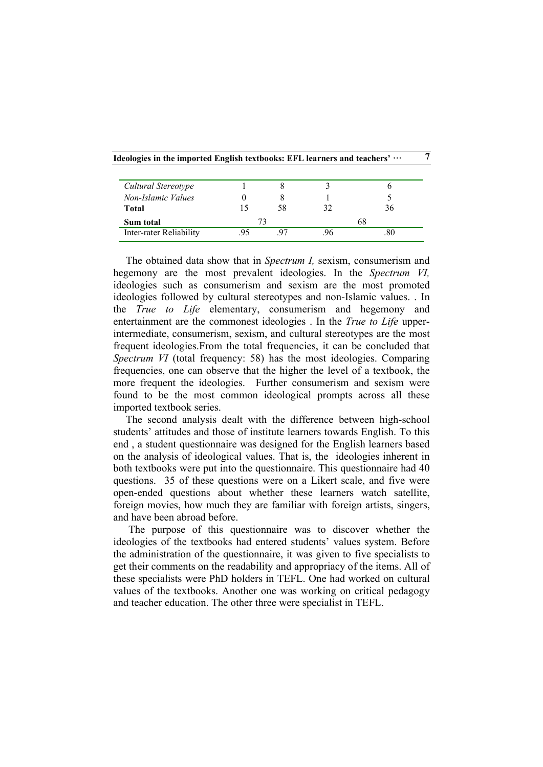| Cultural Stereotype     |    |    |    |    |
|-------------------------|----|----|----|----|
| Non-Islamic Values      |    |    |    |    |
| Total                   |    | 58 | 32 | 36 |
| Sum total               | 73 |    |    | 68 |
| Inter-rater Reliability |    |    |    |    |

The obtained data show that in *Spectrum I,* sexism, consumerism and hegemony are the most prevalent ideologies. In the *Spectrum VI,*  ideologies such as consumerism and sexism are the most promoted ideologies followed by cultural stereotypes and non-Islamic values. . In the *True to Life* elementary, consumerism and hegemony and entertainment are the commonest ideologies . In the *True to Life* upperintermediate, consumerism, sexism, and cultural stereotypes are the most frequent ideologies.From the total frequencies, it can be concluded that *Spectrum VI* (total frequency: 58) has the most ideologies. Comparing frequencies, one can observe that the higher the level of a textbook, the more frequent the ideologies. Further consumerism and sexism were found to be the most common ideological prompts across all these imported textbook series.

The second analysis dealt with the difference between high-school students' attitudes and those of institute learners towards English. To this end , a student questionnaire was designed for the English learners based on the analysis of ideological values. That is, the ideologies inherent in both textbooks were put into the questionnaire. This questionnaire had 40 questions. 35 of these questions were on a Likert scale, and five were open-ended questions about whether these learners watch satellite, foreign movies, how much they are familiar with foreign artists, singers, and have been abroad before.

 The purpose of this questionnaire was to discover whether the ideologies of the textbooks had entered students' values system. Before the administration of the questionnaire, it was given to five specialists to get their comments on the readability and appropriacy of the items. All of these specialists were PhD holders in TEFL. One had worked on cultural values of the textbooks. Another one was working on critical pedagogy and teacher education. The other three were specialist in TEFL.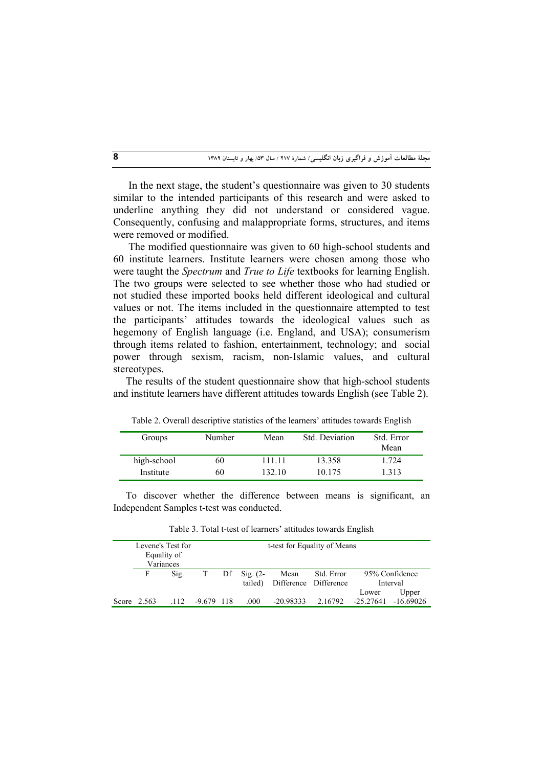In the next stage, the student's questionnaire was given to 30 students similar to the intended participants of this research and were asked to underline anything they did not understand or considered vague. Consequently, confusing and malappropriate forms, structures, and items were removed or modified.

 The modified questionnaire was given to 60 high-school students and 60 institute learners. Institute learners were chosen among those who were taught the *Spectrum* and *True to Life* textbooks for learning English. The two groups were selected to see whether those who had studied or not studied these imported books held different ideological and cultural values or not. The items included in the questionnaire attempted to test the participants' attitudes towards the ideological values such as hegemony of English language (i.e. England, and USA); consumerism through items related to fashion, entertainment, technology; and social power through sexism, racism, non-Islamic values, and cultural stereotypes.

The results of the student questionnaire show that high-school students and institute learners have different attitudes towards English (see Table 2).

| Groups      | Number | Mean   | Std. Deviation | Std. Error<br>Mean |
|-------------|--------|--------|----------------|--------------------|
| high-school | 60     | 111.11 | 13.358         | 1.724              |
| Institute   | 60     | 132.10 | 10.175         | 1.313              |

Table 2. Overall descriptive statistics of the learners' attitudes towards English

To discover whether the difference between means is significant, an Independent Samples t-test was conducted.

|               | Levene's Test for<br>Equality of<br>Variances |              | t-test for Equality of Means |                     |                               |            |           |                |  |  |  |  |  |
|---------------|-----------------------------------------------|--------------|------------------------------|---------------------|-------------------------------|------------|-----------|----------------|--|--|--|--|--|
| F             | Sig.                                          |              | Df                           | $\mathrm{Sig.}$ (2- | Mean                          | Std. Error |           | 95% Confidence |  |  |  |  |  |
|               |                                               |              |                              |                     | tailed) Difference Difference |            |           | Interval       |  |  |  |  |  |
|               |                                               |              |                              |                     |                               |            | Lower     | Upper          |  |  |  |  |  |
| Score $2.563$ | .112                                          | $-9.679$ 118 |                              | .000                | $-20.98333$                   | 2.16792    | -25.27641 | $-16.69026$    |  |  |  |  |  |

Table 3. Total t-test of learners' attitudes towards English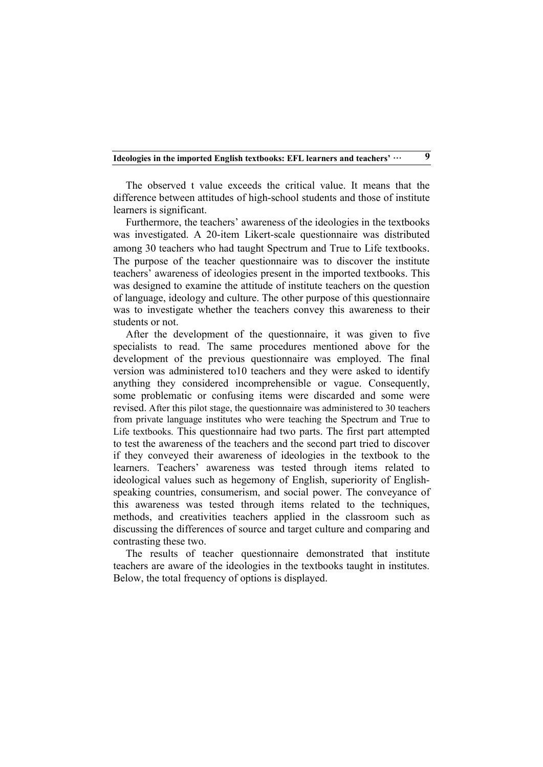The observed t value exceeds the critical value. It means that the difference between attitudes of high-school students and those of institute learners is significant.

Furthermore, the teachers' awareness of the ideologies in the textbooks was investigated. A 20-item Likert-scale questionnaire was distributed among 30 teachers who had taught Spectrum and True to Life textbooks. The purpose of the teacher questionnaire was to discover the institute teachers' awareness of ideologies present in the imported textbooks. This was designed to examine the attitude of institute teachers on the question of language, ideology and culture. The other purpose of this questionnaire was to investigate whether the teachers convey this awareness to their students or not.

After the development of the questionnaire, it was given to five specialists to read. The same procedures mentioned above for the development of the previous questionnaire was employed. The final version was administered to10 teachers and they were asked to identify anything they considered incomprehensible or vague. Consequently, some problematic or confusing items were discarded and some were revised. After this pilot stage, the questionnaire was administered to 30 teachers from private language institutes who were teaching the Spectrum and True to Life textbooks. This questionnaire had two parts. The first part attempted to test the awareness of the teachers and the second part tried to discover if they conveyed their awareness of ideologies in the textbook to the learners. Teachers' awareness was tested through items related to ideological values such as hegemony of English, superiority of Englishspeaking countries, consumerism, and social power. The conveyance of this awareness was tested through items related to the techniques, methods, and creativities teachers applied in the classroom such as discussing the differences of source and target culture and comparing and contrasting these two.

The results of teacher questionnaire demonstrated that institute teachers are aware of the ideologies in the textbooks taught in institutes. Below, the total frequency of options is displayed.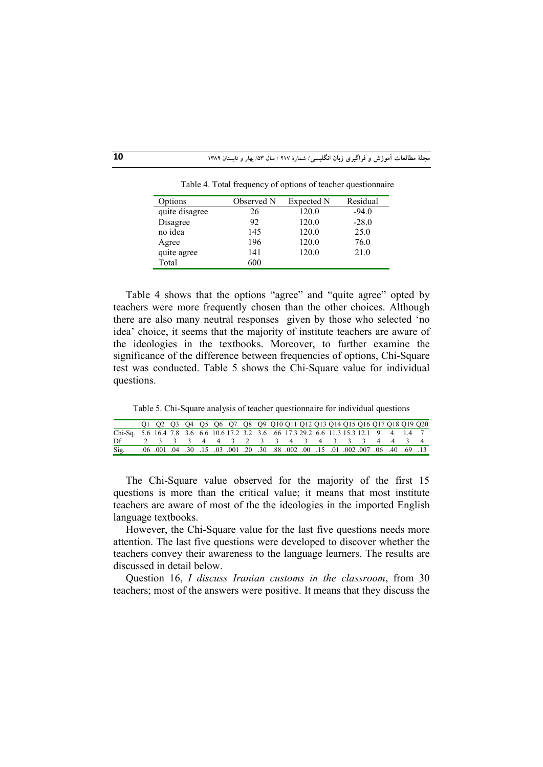**مجلۀ مطالعات آموزش و فراگیري زبان انگلیسی/ شمارة 217 / سال /53 بهار و تابستان <sup>1389</sup> 10**

| Options        | Observed N | Expected N | Residual |
|----------------|------------|------------|----------|
| quite disagree | 26         | 120.0      | $-94.0$  |
| Disagree       | 92         | 120.0      | $-28.0$  |
| no idea        | 145        | 120.0      | 25.0     |
| Agree          | 196        | 120.0      | 76.0     |
| quite agree    | 141        | 120.0      | 21.0     |
| Total          | 600        |            |          |

Table 4. Total frequency of options of teacher questionnaire

Table 4 shows that the options "agree" and "quite agree" opted by teachers were more frequently chosen than the other choices. Although there are also many neutral responses given by those who selected 'no idea' choice, it seems that the majority of institute teachers are aware of the ideologies in the textbooks. Moreover, to further examine the significance of the difference between frequencies of options, Chi-Square test was conducted. Table 5 shows the Chi-Square value for individual questions.

Table 5. Chi-Square analysis of teacher questionnaire for individual questions

|                                                                                            | Q1 Q2 Q3 Q4 Q5 Q6 Q7 Q8 Q9 Q10 Q11 Q12 Q13 Q14 Q15 Q16 Q17 Q18 Q19 Q20 |  |  |  |  |  |  |  |  |  |
|--------------------------------------------------------------------------------------------|------------------------------------------------------------------------|--|--|--|--|--|--|--|--|--|
| Chi-Sq. 5.6 16.4 7.8 3.6 6.6 10.6 17.2 3.2 3.6 6.6 17.3 29.2 6.6 11.3 15.3 12.1 9 4. 1.4 7 |                                                                        |  |  |  |  |  |  |  |  |  |
| Df                                                                                         | 2 3 3 3 4 4 3 2 3 3 4 3 4 3 3 3 4 4 3 4                                |  |  |  |  |  |  |  |  |  |
| Sig.                                                                                       |                                                                        |  |  |  |  |  |  |  |  |  |

The Chi-Square value observed for the majority of the first 15 questions is more than the critical value; it means that most institute teachers are aware of most of the the ideologies in the imported English language textbooks.

However, the Chi-Square value for the last five questions needs more attention. The last five questions were developed to discover whether the teachers convey their awareness to the language learners. The results are discussed in detail below.

Question 16, *I discuss Iranian customs in the classroom*, from 30 teachers; most of the answers were positive. It means that they discuss the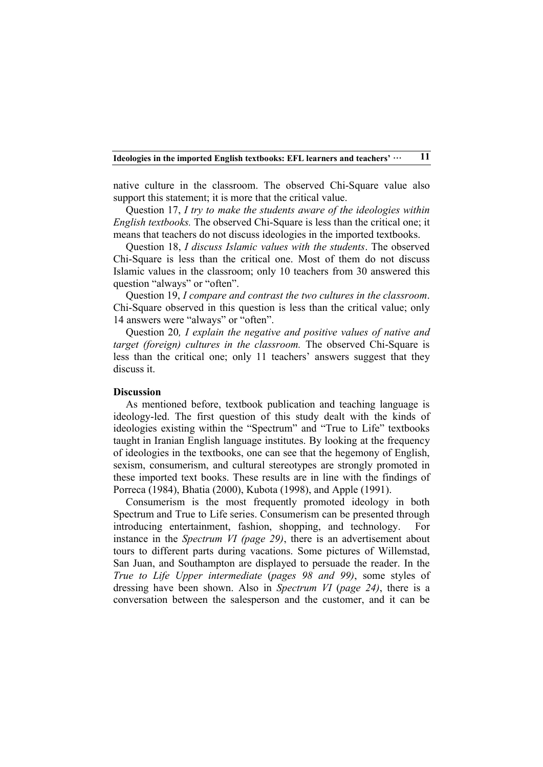native culture in the classroom. The observed Chi-Square value also support this statement; it is more that the critical value.

Question 17, *I try to make the students aware of the ideologies within English textbooks.* The observed Chi-Square is less than the critical one; it means that teachers do not discuss ideologies in the imported textbooks.

Question 18, *I discuss Islamic values with the students*. The observed Chi-Square is less than the critical one. Most of them do not discuss Islamic values in the classroom; only 10 teachers from 30 answered this question "always" or "often".

Question 19, *I compare and contrast the two cultures in the classroom*. Chi-Square observed in this question is less than the critical value; only 14 answers were "always" or "often".

Question 20*, I explain the negative and positive values of native and target (foreign) cultures in the classroom.* The observed Chi-Square is less than the critical one; only 11 teachers' answers suggest that they discuss it.

#### **Discussion**

As mentioned before, textbook publication and teaching language is ideology-led. The first question of this study dealt with the kinds of ideologies existing within the "Spectrum" and "True to Life" textbooks taught in Iranian English language institutes. By looking at the frequency of ideologies in the textbooks, one can see that the hegemony of English, sexism, consumerism, and cultural stereotypes are strongly promoted in these imported text books. These results are in line with the findings of Porreca (1984), Bhatia (2000), Kubota (1998), and Apple (1991).

Consumerism is the most frequently promoted ideology in both Spectrum and True to Life series. Consumerism can be presented through introducing entertainment, fashion, shopping, and technology. For instance in the *Spectrum VI (page 29)*, there is an advertisement about tours to different parts during vacations. Some pictures of Willemstad, San Juan, and Southampton are displayed to persuade the reader. In the *True to Life Upper intermediate* (*pages 98 and 99)*, some styles of dressing have been shown. Also in *Spectrum VI* (*page 24)*, there is a conversation between the salesperson and the customer, and it can be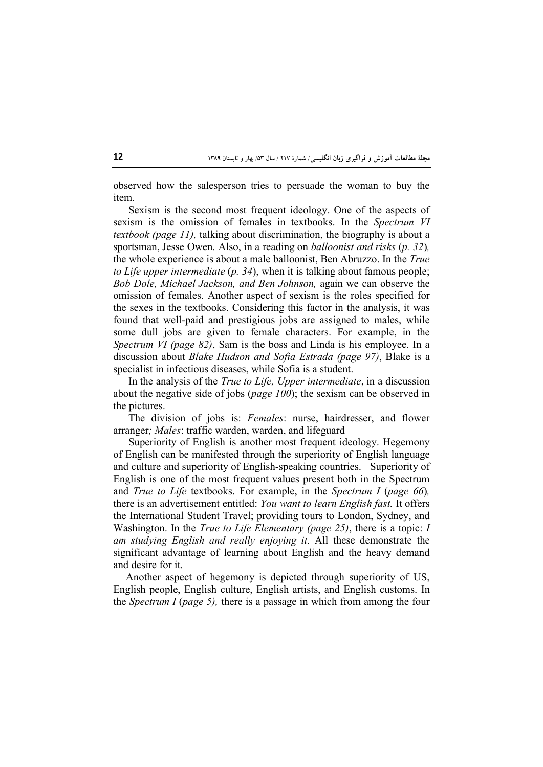observed how the salesperson tries to persuade the woman to buy the item.

 Sexism is the second most frequent ideology. One of the aspects of sexism is the omission of females in textbooks. In the *Spectrum VI textbook (page 11),* talking about discrimination, the biography is about a sportsman, Jesse Owen. Also, in a reading on *balloonist and risks* (*p. 32*)*,*  the whole experience is about a male balloonist, Ben Abruzzo. In the *True to Life upper intermediate* (*p. 34*), when it is talking about famous people; *Bob Dole, Michael Jackson, and Ben Johnson,* again we can observe the omission of females. Another aspect of sexism is the roles specified for the sexes in the textbooks. Considering this factor in the analysis, it was found that well-paid and prestigious jobs are assigned to males, while some dull jobs are given to female characters. For example, in the *Spectrum VI (page 82)*, Sam is the boss and Linda is his employee. In a discussion about *Blake Hudson and Sofia Estrada (page 97)*, Blake is a specialist in infectious diseases, while Sofia is a student.

 In the analysis of the *True to Life, Upper intermediate*, in a discussion about the negative side of jobs (*page 100*); the sexism can be observed in the pictures.

 The division of jobs is: *Females*: nurse, hairdresser, and flower arranger*; Males*: traffic warden, warden, and lifeguard

 Superiority of English is another most frequent ideology. Hegemony of English can be manifested through the superiority of English language and culture and superiority of English-speaking countries. Superiority of English is one of the most frequent values present both in the Spectrum and *True to Life* textbooks. For example, in the *Spectrum I (page 66)*, there is an advertisement entitled: *You want to learn English fast.* It offers the International Student Travel; providing tours to London, Sydney, and Washington. In the *True to Life Elementary (page 25)*, there is a topic: *I am studying English and really enjoying it*. All these demonstrate the significant advantage of learning about English and the heavy demand and desire for it.

Another aspect of hegemony is depicted through superiority of US, English people, English culture, English artists, and English customs. In the *Spectrum I* (*page 5),* there is a passage in which from among the four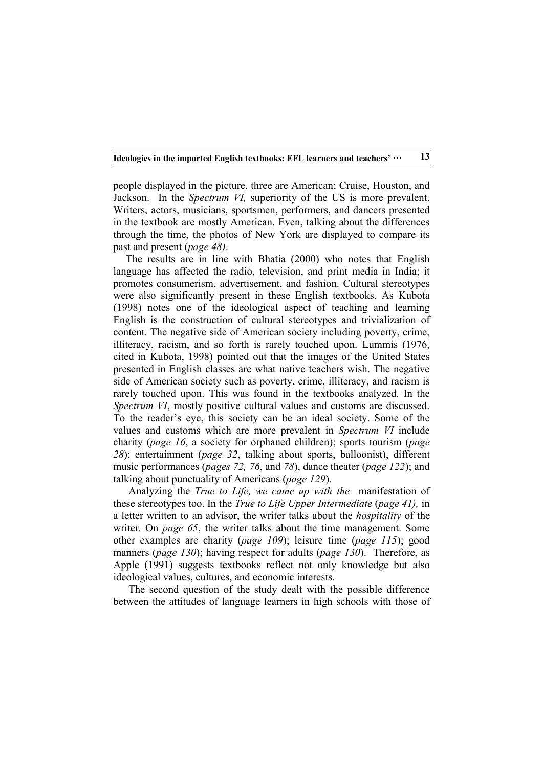people displayed in the picture, three are American; Cruise, Houston, and Jackson. In the *Spectrum VI,* superiority of the US is more prevalent. Writers, actors, musicians, sportsmen, performers, and dancers presented in the textbook are mostly American. Even, talking about the differences through the time, the photos of New York are displayed to compare its past and present (*page 48)*.

The results are in line with Bhatia (2000) who notes that English language has affected the radio, television, and print media in India; it promotes consumerism, advertisement, and fashion. Cultural stereotypes were also significantly present in these English textbooks. As Kubota (1998) notes one of the ideological aspect of teaching and learning English is the construction of cultural stereotypes and trivialization of content. The negative side of American society including poverty, crime, illiteracy, racism, and so forth is rarely touched upon. Lummis (1976, cited in Kubota, 1998) pointed out that the images of the United States presented in English classes are what native teachers wish. The negative side of American society such as poverty, crime, illiteracy, and racism is rarely touched upon. This was found in the textbooks analyzed. In the *Spectrum VI*, mostly positive cultural values and customs are discussed. To the reader's eye, this society can be an ideal society. Some of the values and customs which are more prevalent in *Spectrum VI* include charity (*page 16*, a society for orphaned children); sports tourism (*page 28*); entertainment (*page 32*, talking about sports, balloonist), different music performances (*pages 72, 76*, and *78*), dance theater (*page 122*); and talking about punctuality of Americans (*page 129*).

 Analyzing the *True to Life, we came up with the* manifestation of these stereotypes too. In the *True to Life Upper Intermediate* (*page 41),* in a letter written to an advisor, the writer talks about the *hospitality* of the writer*.* On *page 65*, the writer talks about the time management. Some other examples are charity (*page 109*); leisure time (*page 115*); good manners (*page 130*); having respect for adults (*page 130*). Therefore, as Apple (1991) suggests textbooks reflect not only knowledge but also ideological values, cultures, and economic interests.

 The second question of the study dealt with the possible difference between the attitudes of language learners in high schools with those of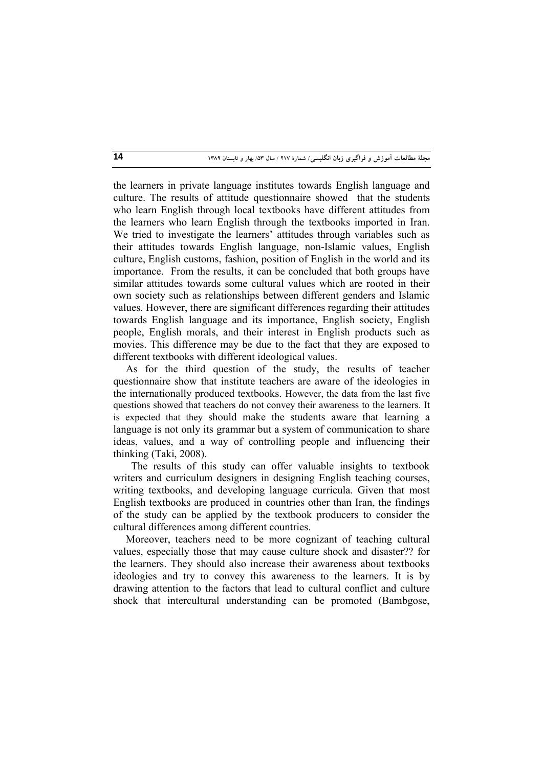the learners in private language institutes towards English language and culture. The results of attitude questionnaire showed that the students who learn English through local textbooks have different attitudes from the learners who learn English through the textbooks imported in Iran. We tried to investigate the learners' attitudes through variables such as their attitudes towards English language, non-Islamic values, English culture, English customs, fashion, position of English in the world and its importance. From the results, it can be concluded that both groups have similar attitudes towards some cultural values which are rooted in their own society such as relationships between different genders and Islamic values. However, there are significant differences regarding their attitudes towards English language and its importance, English society, English people, English morals, and their interest in English products such as movies. This difference may be due to the fact that they are exposed to different textbooks with different ideological values.

As for the third question of the study, the results of teacher questionnaire show that institute teachers are aware of the ideologies in the internationally produced textbooks. However, the data from the last five questions showed that teachers do not convey their awareness to the learners. It is expected that they should make the students aware that learning a language is not only its grammar but a system of communication to share ideas, values, and a way of controlling people and influencing their thinking (Taki, 2008).

 The results of this study can offer valuable insights to textbook writers and curriculum designers in designing English teaching courses, writing textbooks, and developing language curricula. Given that most English textbooks are produced in countries other than Iran, the findings of the study can be applied by the textbook producers to consider the cultural differences among different countries.

Moreover, teachers need to be more cognizant of teaching cultural values, especially those that may cause culture shock and disaster?? for the learners. They should also increase their awareness about textbooks ideologies and try to convey this awareness to the learners. It is by drawing attention to the factors that lead to cultural conflict and culture shock that intercultural understanding can be promoted (Bambgose,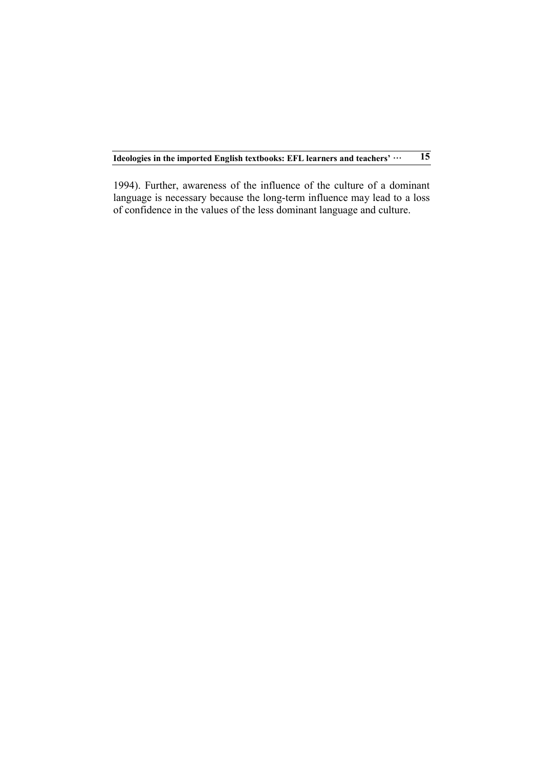1994). Further, awareness of the influence of the culture of a dominant language is necessary because the long-term influence may lead to a loss of confidence in the values of the less dominant language and culture.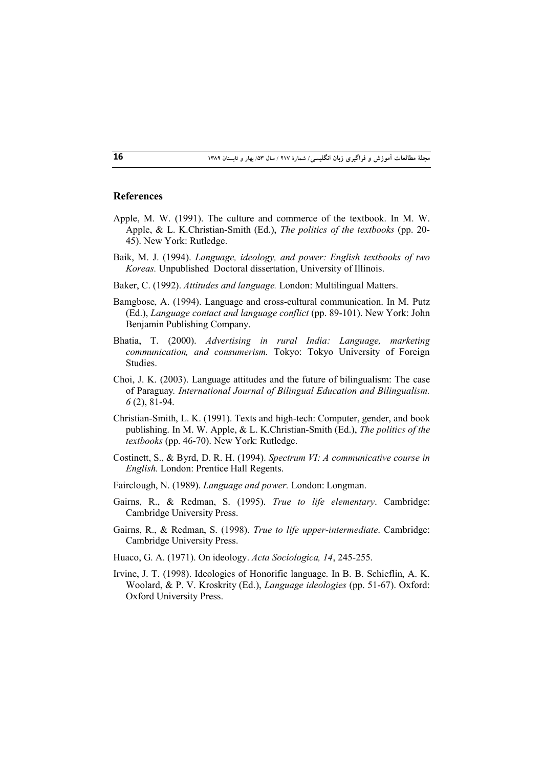#### **References**

- Apple, M. W. (1991). The culture and commerce of the textbook. In M. W. Apple, & L. K.Christian-Smith (Ed.), *The politics of the textbooks* (pp. 20- 45). New York: Rutledge.
- Baik, M. J. (1994). *Language, ideology, and power: English textbooks of two Koreas.* Unpublished Doctoral dissertation, University of Illinois.
- Baker, C. (1992). *Attitudes and language.* London: Multilingual Matters.
- Bamgbose, A. (1994). Language and cross-cultural communication. In M. Putz (Ed.), *Language contact and language conflict* (pp. 89-101). New York: John Benjamin Publishing Company.
- Bhatia, T. (2000). *Advertising in rural India: Language, marketing communication, and consumerism.* Tokyo: Tokyo University of Foreign Studies.
- Choi, J. K. (2003). Language attitudes and the future of bilingualism: The case of Paraguay*. International Journal of Bilingual Education and Bilingualism. 6* (2), 81-94.
- Christian-Smith, L. K. (1991). Texts and high-tech: Computer, gender, and book publishing. In M. W. Apple, & L. K.Christian-Smith (Ed.), *The politics of the textbooks* (pp. 46-70). New York: Rutledge.
- Costinett, S., & Byrd, D. R. H. (1994). *Spectrum VI: A communicative course in English.* London: Prentice Hall Regents.
- Fairclough, N. (1989). *Language and power.* London: Longman.
- Gairns, R., & Redman, S. (1995). *True to life elementary*. Cambridge: Cambridge University Press.
- Gairns, R., & Redman, S. (1998). *True to life upper-intermediate*. Cambridge: Cambridge University Press.
- Huaco, G. A. (1971). On ideology. *Acta Sociologica, 14*, 245-255.
- Irvine, J. T. (1998). Ideologies of Honorific language. In B. B. Schieflin, A. K. Woolard, & P. V. Kroskrity (Ed.), *Language ideologies* (pp. 51-67). Oxford: Oxford University Press.